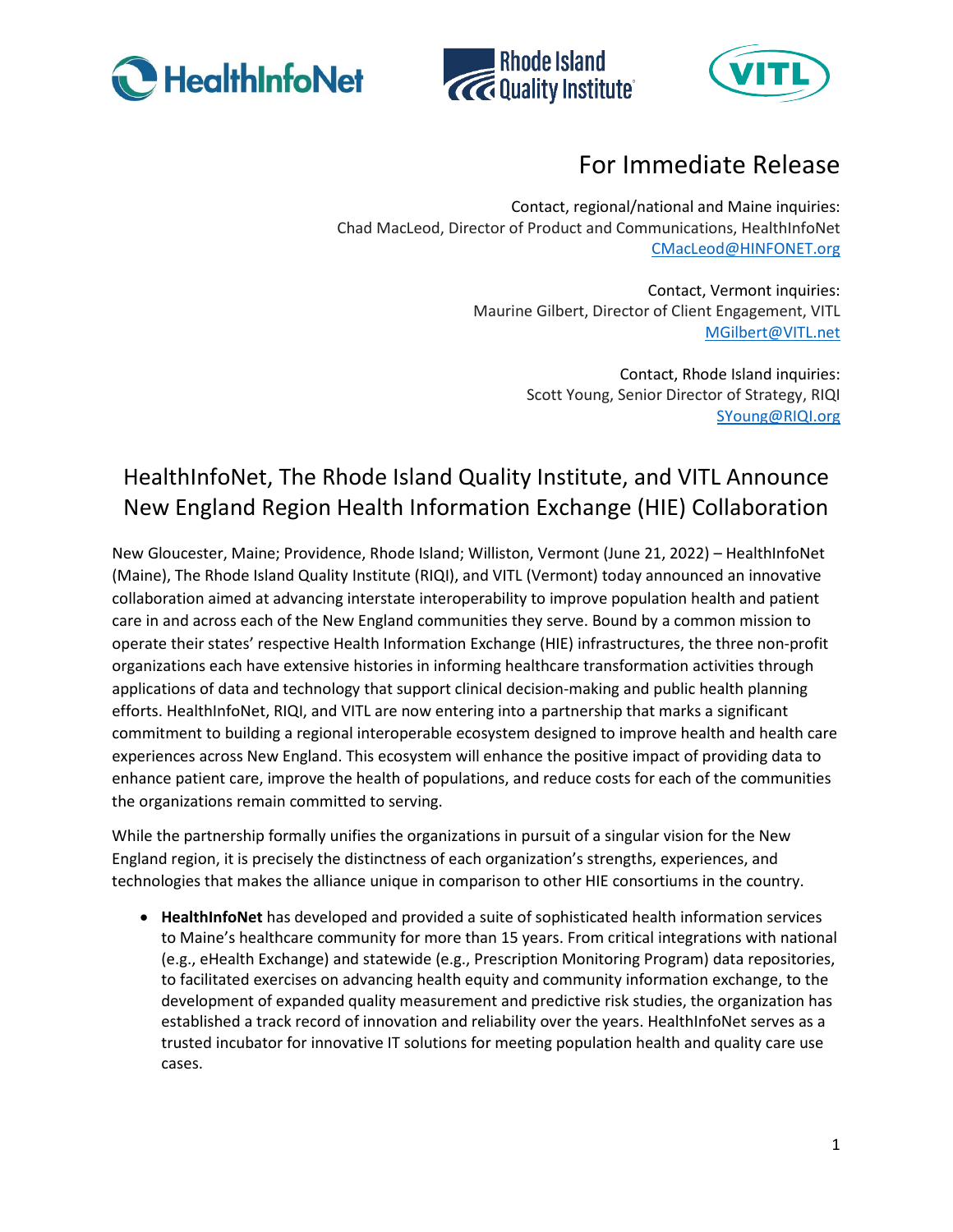





## For Immediate Release

Contact, regional/national and Maine inquiries: Chad MacLeod, Director of Product and Communications, HealthInfoNet [CMacLeod@HINFONET.org](mailto:CMacLeod@HINFONET.org)

> Contact, Vermont inquiries: Maurine Gilbert, Director of Client Engagement, VITL [MGilbert@VITL.net](mailto:MGilbert@VITL.net)

> > Contact, Rhode Island inquiries: Scott Young, Senior Director of Strategy, RIQI [SYoung@RIQI.org](mailto:SYoung@RIQI.org)

## HealthInfoNet, The Rhode Island Quality Institute, and VITL Announce New England Region Health Information Exchange (HIE) Collaboration

New Gloucester, Maine; Providence, Rhode Island; Williston, Vermont (June 21, 2022) – HealthInfoNet (Maine), The Rhode Island Quality Institute (RIQI), and VITL (Vermont) today announced an innovative collaboration aimed at advancing interstate interoperability to improve population health and patient care in and across each of the New England communities they serve. Bound by a common mission to operate their states' respective Health Information Exchange (HIE) infrastructures, the three non-profit organizations each have extensive histories in informing healthcare transformation activities through applications of data and technology that support clinical decision-making and public health planning efforts. HealthInfoNet, RIQI, and VITL are now entering into a partnership that marks a significant commitment to building a regional interoperable ecosystem designed to improve health and health care experiences across New England. This ecosystem will enhance the positive impact of providing data to enhance patient care, improve the health of populations, and reduce costs for each of the communities the organizations remain committed to serving.

While the partnership formally unifies the organizations in pursuit of a singular vision for the New England region, it is precisely the distinctness of each organization's strengths, experiences, and technologies that makes the alliance unique in comparison to other HIE consortiums in the country.

• **HealthInfoNet** has developed and provided a suite of sophisticated health information services to Maine's healthcare community for more than 15 years. From critical integrations with national (e.g., eHealth Exchange) and statewide (e.g., Prescription Monitoring Program) data repositories, to facilitated exercises on advancing health equity and community information exchange, to the development of expanded quality measurement and predictive risk studies, the organization has established a track record of innovation and reliability over the years. HealthInfoNet serves as a trusted incubator for innovative IT solutions for meeting population health and quality care use cases.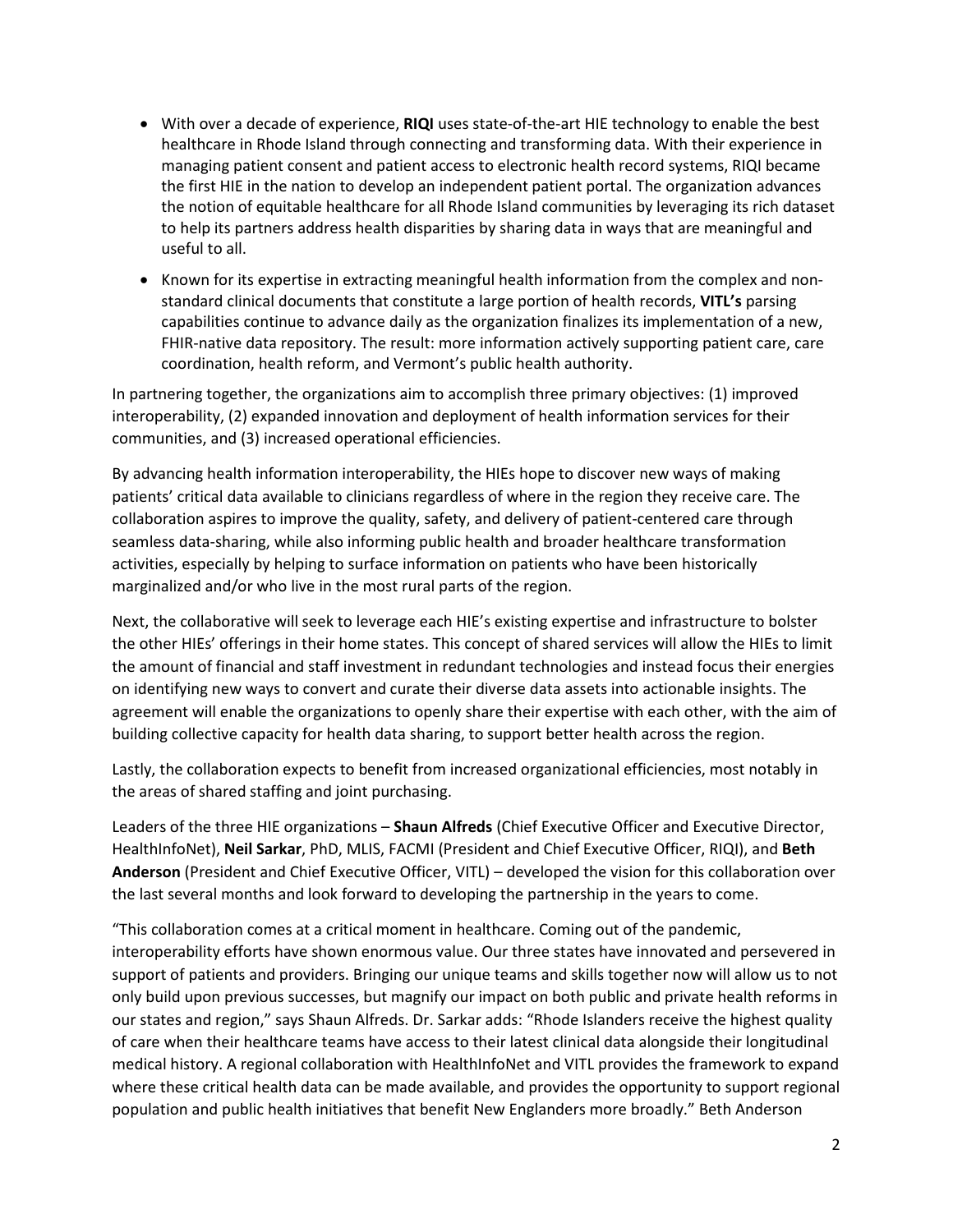- With over a decade of experience, **RIQI** uses state-of-the-art HIE technology to enable the best healthcare in Rhode Island through connecting and transforming data. With their experience in managing patient consent and patient access to electronic health record systems, RIQI became the first HIE in the nation to develop an independent patient portal. The organization advances the notion of equitable healthcare for all Rhode Island communities by leveraging its rich dataset to help its partners address health disparities by sharing data in ways that are meaningful and useful to all.
- Known for its expertise in extracting meaningful health information from the complex and nonstandard clinical documents that constitute a large portion of health records, **VITL's** parsing capabilities continue to advance daily as the organization finalizes its implementation of a new, FHIR-native data repository. The result: more information actively supporting patient care, care coordination, health reform, and Vermont's public health authority.

In partnering together, the organizations aim to accomplish three primary objectives: (1) improved interoperability, (2) expanded innovation and deployment of health information services for their communities, and (3) increased operational efficiencies.

By advancing health information interoperability, the HIEs hope to discover new ways of making patients' critical data available to clinicians regardless of where in the region they receive care. The collaboration aspires to improve the quality, safety, and delivery of patient-centered care through seamless data-sharing, while also informing public health and broader healthcare transformation activities, especially by helping to surface information on patients who have been historically marginalized and/or who live in the most rural parts of the region.

Next, the collaborative will seek to leverage each HIE's existing expertise and infrastructure to bolster the other HIEs' offerings in their home states. This concept of shared services will allow the HIEs to limit the amount of financial and staff investment in redundant technologies and instead focus their energies on identifying new ways to convert and curate their diverse data assets into actionable insights. The agreement will enable the organizations to openly share their expertise with each other, with the aim of building collective capacity for health data sharing, to support better health across the region.

Lastly, the collaboration expects to benefit from increased organizational efficiencies, most notably in the areas of shared staffing and joint purchasing.

Leaders of the three HIE organizations – **Shaun Alfreds** (Chief Executive Officer and Executive Director, HealthInfoNet), **Neil Sarkar**, PhD, MLIS, FACMI (President and Chief Executive Officer, RIQI), and **Beth Anderson** (President and Chief Executive Officer, VITL) – developed the vision for this collaboration over the last several months and look forward to developing the partnership in the years to come.

"This collaboration comes at a critical moment in healthcare. Coming out of the pandemic, interoperability efforts have shown enormous value. Our three states have innovated and persevered in support of patients and providers. Bringing our unique teams and skills together now will allow us to not only build upon previous successes, but magnify our impact on both public and private health reforms in our states and region," says Shaun Alfreds. Dr. Sarkar adds: "Rhode Islanders receive the highest quality of care when their healthcare teams have access to their latest clinical data alongside their longitudinal medical history. A regional collaboration with HealthInfoNet and VITL provides the framework to expand where these critical health data can be made available, and provides the opportunity to support regional population and public health initiatives that benefit New Englanders more broadly." Beth Anderson